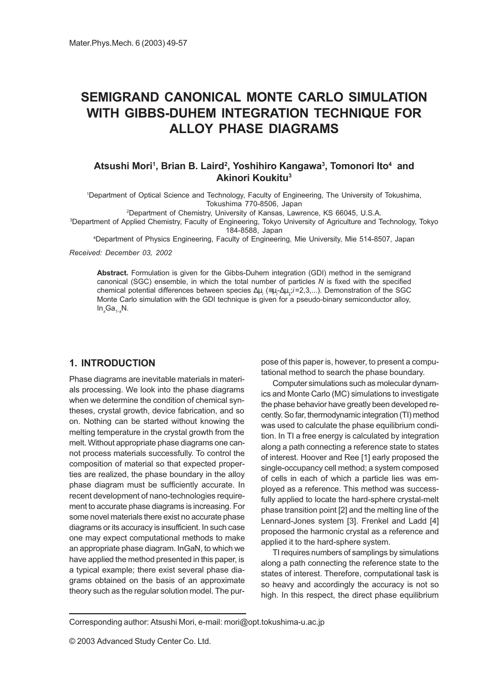# SEMIGRAND CANONICAL MONTE CARLO SIMULATION WITH GIBBS-DUHEM INTEGRATION TECHNIQUE FOR ALLOY PHASE DIAGRAMS

## Atsushi Mori<sup>1</sup>, Brian B. Laird<sup>2</sup>, Yoshihiro Kangawa<sup>3</sup>, Tomonori Ito<sup>4</sup> and Akinori Koukitu3

1 Department of Optical Science and Technology, Faculty of Engineering, The University of Tokushima, Tokushima 770-8506, Japan

2 Department of Chemistry, University of Kansas, Lawrence, KS 66045, U.S.A.

3 Department of Applied Chemistry, Faculty of Engineering, Tokyo University of Agriculture and Technology, Tokyo 184-8588, Japan

4 Department of Physics Engineering, Faculty of Engineering, Mie University, Mie 514-8507, Japan

Received: December 03, 2002

Abstract. Formulation is given for the Gibbs-Duhem integration (GDI) method in the semigrand canonical (SGC) ensemble, in which the total number of particles N is fixed with the specified chemical potential differences between species  $\Delta \mu_{_i}$  (≡μ<sub>i</sub>-∆μ<sub>1</sub>;i=2,3,...). Demonstration of the SGC Monte Carlo simulation with the GDI technique is given for a pseudo-binary semiconductor alloy,  $In_{x}Ga_{1-x}N.$ 

## 1. INTRODUCTION

Phase diagrams are inevitable materials in materials processing. We look into the phase diagrams when we determine the condition of chemical syntheses, crystal growth, device fabrication, and so on. Nothing can be started without knowing the melting temperature in the crystal growth from the melt. Without appropriate phase diagrams one cannot process materials successfully. To control the composition of material so that expected properties are realized, the phase boundary in the alloy phase diagram must be sufficiently accurate. In recent development of nano-technologies requirement to accurate phase diagrams is increasing. For some novel materials there exist no accurate phase diagrams or its accuracy is insufficient. In such case one may expect computational methods to make an appropriate phase diagram. InGaN, to which we have applied the method presented in this paper, is a typical example; there exist several phase diagrams obtained on the basis of an approximate theory such as the regular solution model. The purpose of this paper is, however, to present a computational method to search the phase boundary.

Computer simulations such as molecular dynamics and Monte Carlo (MC) simulations to investigate the phase behavior have greatly been developed recently. So far, thermodynamic integration (TI) method was used to calculate the phase equilibrium condition. In TI a free energy is calculated by integration along a path connecting a reference state to states of interest. Hoover and Ree [1] early proposed the single-occupancy cell method; a system composed of cells in each of which a particle lies was employed as a reference. This method was successfully applied to locate the hard-sphere crystal-melt phase transition point [2] and the melting line of the Lennard-Jones system [3]. Frenkel and Ladd [4] proposed the harmonic crystal as a reference and applied it to the hard-sphere system.

TI requires numbers of samplings by simulations along a path connecting the reference state to the states of interest. Therefore, computational task is so heavy and accordingly the accuracy is not so high. In this respect, the direct phase equilibrium

Corresponding author: Atsushi Mori, e-mail: mori@opt.tokushima-u.ac.jp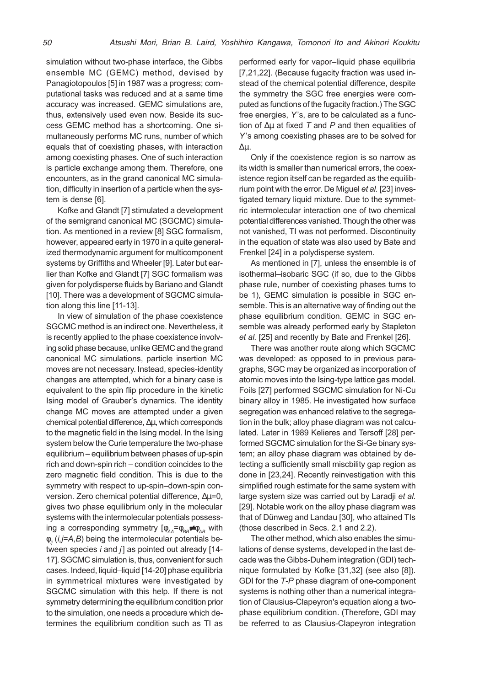simulation without two-phase interface, the Gibbs ensemble MC (GEMC) method, devised by Panagiotopoulos [5] in 1987 was a progress; computational tasks was reduced and at a same time accuracy was increased. GEMC simulations are, thus, extensively used even now. Beside its success GEMC method has a shortcoming. One simultaneously performs MC runs, number of which equals that of coexisting phases, with interaction among coexisting phases. One of such interaction is particle exchange among them. Therefore, one encounters, as in the grand canonical MC simulation, difficulty in insertion of a particle when the system is dense [6].

Kofke and Glandt [7] stimulated a development of the semigrand canonical MC (SGCMC) simulation. As mentioned in a review [8] SGC formalism, however, appeared early in 1970 in a quite generalized thermodynamic argument for multicomponent systems by Griffiths and Wheeler [9]. Later but earlier than Kofke and Glandt [7] SGC formalism was given for polydisperse fluids by Bariano and Glandt [10]. There was a development of SGCMC simulation along this line [11-13].

In view of simulation of the phase coexistence SGCMC method is an indirect one. Nevertheless, it is recently applied to the phase coexistence involving solid phase because, unlike GEMC and the grand canonical MC simulations, particle insertion MC moves are not necessary. Instead, species-identity changes are attempted, which for a binary case is equivalent to the spin flip procedure in the kinetic Ising model of Grauber's dynamics. The identity change MC moves are attempted under a given chemical potential difference, ∆µ, which corresponds to the magnetic field in the Ising model. In the Ising system below the Curie temperature the two-phase equilibrium equilibrium between phases of up-spin  $rich$  and down-spin rich  $-$  condition coincides to the zero magnetic field condition. This is due to the symmetry with respect to up-spin-down-spin conversion. Zero chemical potential difference, ∆µ=0, gives two phase equilibrium only in the molecular systems with the intermolecular potentials possessing a corresponding symmetry  $[\phi_{AA} = \phi_{BB} \neq \phi_{AB}$  with  $\phi$ <sub>ii</sub> (i,j=A,B) being the intermolecular potentials between species  $i$  and  $j$ ] as pointed out already [14-17]. SGCMC simulation is, thus, convenient for such cases. Indeed, liquid-liquid [14-20] phase equilibria in symmetrical mixtures were investigated by SGCMC simulation with this help. If there is not symmetry determining the equilibrium condition prior to the simulation, one needs a procedure which determines the equilibrium condition such as TI as

performed early for vapor-liquid phase equilibria [7,21,22]. (Because fugacity fraction was used instead of the chemical potential difference, despite the symmetry the SGC free energies were computed as functions of the fugacity fraction.) The SGC free energies, Y's, are to be calculated as a function of  $\Delta\mu$  at fixed T and P and then equalities of Y's among coexisting phases are to be solved for ∆µ.

Only if the coexistence region is so narrow as its width is smaller than numerical errors, the coexistence region itself can be regarded as the equilibrium point with the error. De Miguel et al. [23] investigated ternary liquid mixture. Due to the symmetric intermolecular interaction one of two chemical potential differences vanished. Though the other was not vanished, TI was not performed. Discontinuity in the equation of state was also used by Bate and Frenkel [24] in a polydisperse system.

As mentioned in [7], unless the ensemble is of isothermal-isobaric SGC (if so, due to the Gibbs phase rule, number of coexisting phases turns to be 1), GEMC simulation is possible in SGC ensemble. This is an alternative way of finding out the phase equilibrium condition. GEMC in SGC ensemble was already performed early by Stapleton et al. [25] and recently by Bate and Frenkel [26].

There was another route along which SGCMC was developed: as opposed to in previous paragraphs, SGC may be organized as incorporation of atomic moves into the Ising-type lattice gas model. Foils [27] performed SGCMC simulation for Ni-Cu binary alloy in 1985. He investigated how surface segregation was enhanced relative to the segregation in the bulk; alloy phase diagram was not calculated. Later in 1989 Kelieres and Tersoff [28] performed SGCMC simulation for the Si-Ge binary system; an alloy phase diagram was obtained by detecting a sufficiently small miscbility gap region as done in [23,24]. Recently reinvestigation with this simplified rough estimate for the same system with large system size was carried out by Laradii et al. [29]. Notable work on the alloy phase diagram was that of Dünweg and Landau [30], who attained TIs (those described in Secs. 2.1 and 2.2).

The other method, which also enables the simulations of dense systems, developed in the last decade was the Gibbs-Duhem integration (GDI) technique formulated by Kofke [31,32] (see also [8]). GDI for the T-P phase diagram of one-component systems is nothing other than a numerical integration of Clausius-Clapeyron's equation along a twophase equilibrium condition. (Therefore, GDI may be referred to as Clausius-Clapeyron integration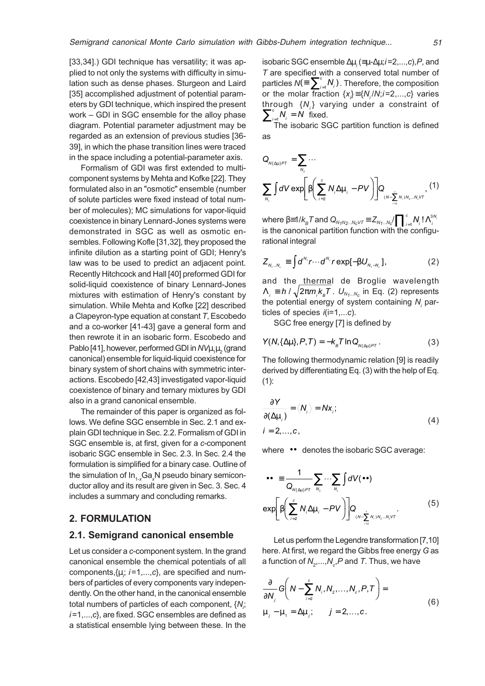[33,34].) GDI technique has versatility; it was applied to not only the systems with difficulty in simulation such as dense phases. Sturgeon and Laird [35] accomplished adjustment of potential parameters by GDI technique, which inspired the present work - GDI in SGC ensemble for the alloy phase diagram. Potential parameter adjustment may be regarded as an extension of previous studies [36- 39], in which the phase transition lines were traced in the space including a potential-parameter axis.

Formalism of GDI was first extended to multicomponent systems by Mehta and Kofke [22]. They formulated also in an "osmotic" ensemble (number of solute particles were fixed instead of total number of molecules); MC simulations for vapor-liquid coexistence in binary Lennard-Jones systems were demonstrated in SGC as well as osmotic ensembles. Following Kofle [31,32], they proposed the infinite dilution as a starting point of GDI; Henry's law was to be used to predict an adjacent point. Recently Hitchcock and Hall [40] preformed GDI for solid-liquid coexistence of binary Lennard-Jones mixtures with estimation of Henry's constant by simulation. While Mehta and Kofke [22] described a Clapeyron-type equation at constant  $T$ , Escobedo and a co-worker [41-43] gave a general form and then rewrote it in an isobaric form. Escobedo and Pablo [41], however, performed GDI in  $N V\mu_{_1}\mu_{_2}$  (grand canonical) ensemble for liquid-liquid coexistence for binary system of short chains with symmetric interactions. Escobedo [42,43] investigated vapor-liquid coexistence of binary and ternary mixtures by GDI also in a grand canonical ensemble.

The remainder of this paper is organized as follows. We define SGC ensemble in Sec. 2.1 and explain GDI technique in Sec. 2.2. Formalism of GDI in SGC ensemble is, at first, given for a c-component isobaric SGC ensemble in Sec. 2.3. In Sec. 2.4 the formulation is simplified for a binary case. Outline of the simulation of In $_{1-x}$ Ga $_x$ N pseudo binary semiconductor alloy and its result are given in Sec. 3. Sec. 4 includes a summary and concluding remarks.

## 2. FORMULATION

#### 2.1. Semigrand canonical ensemble

Let us consider a c-component system. In the grand canonical ensemble the chemical potentials of all components, $\{\mu, i=1,\ldots,c\}$ , are specified and numbers of particles of every components vary independently. On the other hand, in the canonical ensemble total numbers of particles of each component,  $\{\mathcal{N}_{i^{\prime}}\}$  $i=1,\ldots,c$ , are fixed. SGC ensembles are defined as a statistical ensemble lying between these. In the

isobaric SGC ensemble  $\Delta \mu_{_i}(\equiv$ µ- $\Delta \mu_{;}$ i=2,..., $c$ ), $P$ , and T are specified with a conserved total number of particles  $\mathcal{N} (\equiv \sum_{i=1}^{c} N_i)$  . Therefore, the composition or the molar fraction  $\{x_{i}\}\!\equiv\!\{N_{i}/N_{i}\}$  =2,..., $c\}$  varies through  $\{N_i\}$  varying under a constraint of  $\sum_{i=1}^{c} N_i = N$  fixed.

The isobaric SGC partition function is defined as

$$
Q_{N\{\Delta\mu\}PT} = \sum_{N_z} \cdots
$$
  

$$
\sum_{N_z} \int dV \exp \left[\beta \left(\sum_{i=2}^c N_i \Delta \mu_i - PV\right)\right] Q_{\left(N-\sum_{i=2}^c N_i\right)N_z \ldots N_z V T}, (1)
$$

where  $\beta\text{=}1/k_{_B}\mathcal{T}$  and  $\mathcal{Q}_{N_fN_2...N_C\!V\mathcal{T}}\equiv Z_{N_f...N_C}\!/\prod\nolimits_{i=1}^cN_{_i}$  $\prod\nolimits_{i=1}^{c}$ N, ! $\Lambda_{i}^{3N_{i}}$ is the canonical partition function with the configurational integral

$$
Z_{N_1\ldots N_c} \equiv \int d^{N_1} r \cdots d^{N_c} r \exp[-\beta U_{N_1\ldots N_c}], \qquad (2)
$$

and the thermal de Broglie wavelength  $\Lambda_{_i} \equiv h$  /  $\sqrt{2\pi m_{_i} k_{_B}T}$  .  $U_{_{N_1...N_C}}$  in Eq. (2) represents the potential energy of system containing  $\boldsymbol{N}_{\!_j}$  particles of species  $i(i=1,...c)$ .

SGC free energy [7] is defined by

$$
Y(N,\{\Delta\mu\},P,T) = -k_{B}T \ln Q_{N\{\Delta\mu\}PT}.
$$
 (3)

The following thermodynamic relation [9] is readily derived by differentiating Eq. (3) with the help of Eq.  $(1)$ :

$$
\frac{\partial Y}{\partial(\Delta \mu_i)} = \langle N_i \rangle = Nx_i;
$$
  
\n $i = 2,...,c,$  (4)

where 〈••〉 denotes the isobaric SGC average:

$$
\langle \bullet \bullet \rangle \equiv \frac{1}{Q_{N\{\Delta\mu\}PT}} \sum_{N_2} \cdots \sum_{N_e} \int dV(\bullet \bullet)
$$

$$
\exp\left[\beta \left(\sum_{i=2}^{c} N_i \Delta \mu_i - PV\right)\right] Q_{(N-\sum_{i=2}^{e} N_i)N_2 \ldots N_e \vee T}.
$$

$$
(5)
$$

Let us perform the Legendre transformation [7,10] here. At first, we regard the Gibbs free energy G as a function of  $\mathsf{N}_2,...,\mathsf{N}_c$ , $P$  and  $\mathcal{T}.$  Thus, we have

$$
\frac{\partial}{\partial N_j} G\left(N - \sum_{i=2}^{c} N_i, N_2, \dots, N_c, P, T\right) =
$$
\n
$$
\mu_j - \mu_1 = \Delta \mu_j; \qquad j = 2, \dots, c.
$$
\n(6)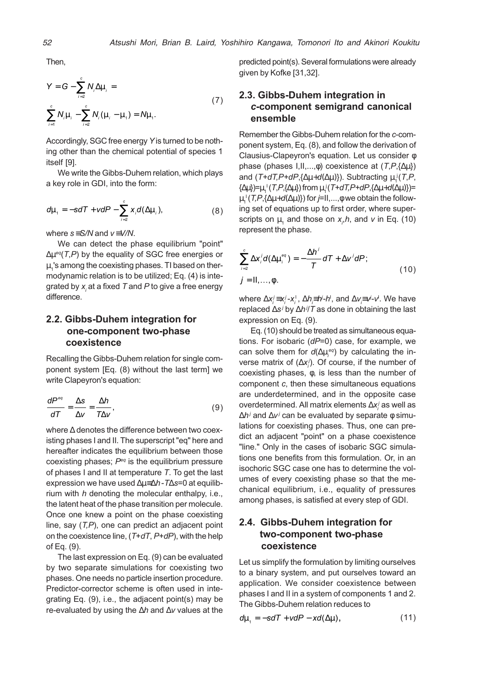Then,

$$
Y = G - \sum_{i=2}^{c} N_{i} \Delta \mu_{i} =
$$
  

$$
\sum_{i=1}^{c} N_{i} \mu_{i} - \sum_{i=2}^{c} N_{i} (\mu_{i} - \mu_{i}) = N \mu_{i}.
$$
 (7)

Accordingly, SGC free energy Y is turned to be nothing other than the chemical potential of species 1 itself [9].

We write the Gibbs-Duhem relation, which plays a key role in GDI, into the form:

$$
d\mu_{1} = -sdT + vdP - \sum_{i=2}^{c} x_{i}d(\Delta\mu_{i}),
$$
\n(8)

where  $s = S/N$  and  $v = V/N$ .

We can detect the phase equilibrium "point"  $\Delta \mu$ <sup>eq</sup>(T,P) by the equality of SGC free energies or  $\mu_{_1}$ 's among the coexisting phases. TI based on thermodynamic relation is to be utilized; Eq. (4) is integrated by  $\mathsf{x}_{_{\!{}_j}}$ at a fixed  $\mathcal T$  and  $P$  to give a free energy difference.

# 2.2. Gibbs-Duhem integration for one-component two-phase coexistence

Recalling the Gibbs-Duhem relation for single component system [Eq. (8) without the last term] we write Clapeyron's equation:

$$
\frac{dP^{eq}}{dT} = \frac{\Delta s}{\Delta v} = \frac{\Delta h}{T\Delta v},\tag{9}
$$

where ∆ denotes the difference between two coexisting phases I and II. The superscript "eq" here and hereafter indicates the equilibrium between those coexisting phases;  $P<sup>eq</sup>$  is the equilibrium pressure of phases I and II at temperature T. To get the last expression we have used ∆µ≡∆h-T∆s=0 at equilibrium with  $h$  denoting the molecular enthalpy, i.e., the latent heat of the phase transition per molecule. Once one knew a point on the phase coexisting line, say  $(T,P)$ , one can predict an adjacent point on the coexistence line,  $(T+dT, P+dP)$ , with the help of Eq. (9).

The last expression on Eq. (9) can be evaluated by two separate simulations for coexisting two phases. One needs no particle insertion procedure. Predictor-corrector scheme is often used in integrating Eq. (9), i.e., the adjacent point(s) may be re-evaluated by using the ∆h and ∆v values at the predicted point(s). Several formulations were already given by Kofke [31,32].

# 2.3. Gibbs-Duhem integration in c-component semigrand canonical ensemble

Remember the Gibbs-Duhem relation for the  $c$ -component system, Eq. (8), and follow the derivation of Clausius-Clapeyron's equation. Let us consider φ phase (phases  $I, II, \ldots, \phi$ ) coexistence at  $(T, P, {\Delta \mu})$ and ( $T$ +d $T$ , $P$ +d $P$ ,{ $\Delta \mu$ +d( $\Delta \mu$ )}). Subtracting  $\mu_1^{~\textrm{!`}}(T$ , $P$ ,  $\{\Delta \mu\}$ )= $\mu_1^+(T, P, {\Delta \mu})$  from  $\mu_1^+(T$ +dT,P+dP, $\{\Delta \mu$ +d( $\Delta \mu)\}$ )=  $\mu_1^+(\mathcal{T}\!,\!\mathit{P}\!,\!\{\!\Delta \mu\!\!+\!\!d(\Delta \mu)\!\})$  for *j*=II,...,φ we obtain the following set of equations up to first order, where superscripts on  $\mu_{_1}$  and those on  $x_{_{\rho}}$ h, and  $v$  in Eq. (10) represent the phase.

$$
\sum_{i=2}^{c} \Delta x_{i}^{j} d(\Delta \mu_{i}^{eq}) = -\frac{\Delta h^{j}}{T} dT + \Delta v^{j} dP;
$$
\n
$$
j = II, ..., \phi.
$$
\n(10)

where  $\Delta {\mathsf x}_i^j$ ≡x $_i^{\scriptscriptstyle \sf I}$  -  ${\mathsf x}_i^{\scriptscriptstyle \sf I}$  ,  $\Delta h$  $\bar{{\mathsf F}}$ H $^j$ - $h^{\scriptscriptstyle \sf I}$ , and  $\Delta {\mathsf v}$  $\bar{{\mathsf F}}$ v $^j$ - ${\mathsf v}^{\scriptscriptstyle \sf I}$ . We have replaced ∆s<sup>*i*</sup> by ∆h<sup>*i|T*</sup> as done in obtaining the last expression on Eq. (9).

Eq. (10) should be treated as simultaneous equations. For isobaric  $(dP=0)$  case, for example, we can solve them for  $d(\Delta\mu_i^{_{eq}})$  by calculating the inverse matrix of ( $\Delta x_{i}^{j}$ ). Of course, if the number of coexisting phases, φ, is less than the number of component c, then these simultaneous equations are underdetermined, and in the opposite case overdetermined. All matrix elements  $\Delta {\sf x}_i^j$  as well as ∆*hʲ* and ∆v<sup>*j*</sup> can be evaluated by separate ϕ simulations for coexisting phases. Thus, one can predict an adjacent "point" on a phase coexistence "line." Only in the cases of isobaric SGC simulations one benefits from this formulation. Or, in an isochoric SGC case one has to determine the volumes of every coexisting phase so that the mechanical equilibrium, i.e., equality of pressures among phases, is satisfied at every step of GDI.

# 2.4. Gibbs-Duhem integration for two-component two-phase coexistence

Let us simplify the formulation by limiting ourselves to a binary system, and put ourselves toward an application. We consider coexistence between phases I and II in a system of components 1 and 2. The Gibbs-Duhem relation reduces to

$$
d\mu_{1} = -sdT + vdP - xd(\Delta\mu), \qquad (11)
$$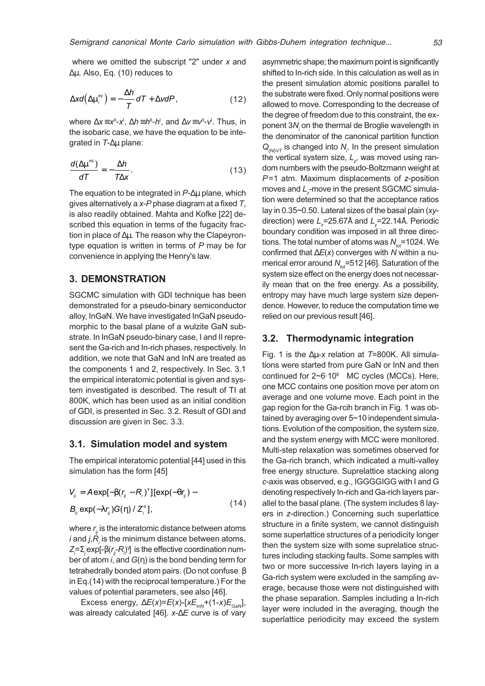where we omitted the subscript "2" under  $x$  and ∆µ. Also, Eq. (10) reduces to

$$
\Delta xd\left(\Delta \mu_i^{eq}\right) = -\frac{\Delta h}{T}dT + \Delta v dP, \qquad (12)
$$

where ∆x≡x"-x', ∆h≡h"-h', and ∆v≡v"-v'. Thus, in the isobaric case, we have the equation to be integrated in T-∆µ plane:

$$
\frac{d(\Delta \mu^{\text{eq}})}{dT} = -\frac{\Delta h}{T \Delta x}.
$$
\n(13)

The equation to be integrated in P-∆µ plane, which gives alternatively a  $x$ - $P$  phase diagram at a fixed  $T$ , is also readily obtained. Mahta and Kofke [22] described this equation in terms of the fugacity fraction in place of ∆µ. The reason why the Clapeyrontype equation is written in terms of  $P$  may be for convenience in applying the Henry's law.

#### 3. DEMONSTRATION

SGCMC simulation with GDI technique has been demonstrated for a pseudo-binary semiconductor alloy, InGaN. We have investigated InGaN pseudomorphic to the basal plane of a wulzite GaN substrate. In InGaN pseudo-binary case, I and II represent the Ga-rich and In-rich phases, respectively. In addition, we note that GaN and InN are treated as the components 1 and 2, respectively. In Sec. 3.1 the empirical interatomic potential is given and system investigated is described. The result of TI at 800K, which has been used as an initial condition of GDI, is presented in Sec. 3.2. Result of GDI and discussion are given in Sec. 3.3.

#### 3.1. Simulation model and system

The empirical interatomic potential [44] used in this simulation has the form [45]

$$
V_{ij} = A \exp[-\beta (r_{ij} - R_i)^{\gamma}] [\exp(-\theta r_{ij}) -
$$
  
\n
$$
B_0 \exp(-\lambda r_{ij}) G(\eta) / Z_i^{\alpha}],
$$
\n(14)

where  $r_{_{ij}}$  is the interatomic distance between atoms *i* and *j*, $R_{\scriptscriptstyle\!f}$  is the minimum distance between atoms, Z=Σ<sub>j</sub>exp[-β(r<sub>j</sub>-R<sub>)</sub>)'] is the effective coordination number of atom i, and  $G(\eta)$  is the bond bending term for tetrahedrally bonded atom pairs. (Do not confuse β in Eq.(14) with the reciprocal temperature.) For the values of potential parameters, see also [46].

Excess energy,  $\Delta E(x)=E(x)-[xE_{\text{inN}}+(1-x)E_{\text{can}}]$ , was already calculated [46]. x-∆E curve is of vary asymmetric shape; the maximum point is significantly shifted to In-rich side. In this calculation as well as in the present simulation atomic positions parallel to the substrate were fixed. Only normal positions were allowed to move. Corresponding to the decrease of the degree of freedom due to this constraint, the exponent 3 $\mathcal{N}_i$  on the thermal de Broglie wavelength in the denominator of the canonical partition function  $Q_{\text{NNVT}}$  is changed into  $N_{\text{r}}$ . In the present simulation the vertical system size,  $\mathcal{L}_{z^{\prime}}$  was moved using random numbers with the pseudo-Boltzmann weight at P=1 atm. Maximum displacements of z-position moves and  $L_{\textsf{z}}$ -move in the present SGCMC simulation were determined so that the acceptance ratios lay in 0.35~0.50. Lateral sizes of the basal plain (xydirection) were  $L_{_{\mathrm{x}}}\!\!=\!\!25.67$ Å and  $L_{_{\mathrm{y}}}\!\!=\!\!22.14$ Å. Periodic boundary condition was imposed in all three directions. The total number of atoms was  $N_{tot}$ =1024. We confirmed that  $\Delta E(x)$  converges with N within a numerical error around  $N_{tot}$ =512 [46]. Saturation of the system size effect on the energy does not necessarily mean that on the free energy. As a possibility, entropy may have much large system size dependence. However, to reduce the computation time we relied on our previous result [46].

### 3.2. Thermodynamic integration

Fig. 1 is the ∆µ-x relation at T=800K. All simulations were started from pure GaN or InN and then continued for 2~6·10<sup>6</sup> MC cycles (MCCs). Here, one MCC contains one position move per atom on average and one volume move. Each point in the gap region for the Ga-rcih branch in Fig. 1 was obtained by averaging over 5~10 independent simulations. Evolution of the composition, the system size, and the system energy with MCC were monitored. Multi-step relaxation was sometimes observed for the Ga-rich branch, which indicated a multi-valley free energy structure. Suprelattice stacking along c-axis was observed, e.g., IGGGGIGG with I and G denoting respectively In-rich and Ga-rich layers parallel to the basal plane. (The system includes 8 layers in z-direction.) Concerning such superlattice structure in a finite system, we cannot distinguish some superlattice structures of a periodicity longer then the system size with some suprelatice structures including stacking faults. Some samples with two or more successive In-rich layers laying in a Ga-rich system were excluded in the sampling average, because those were not distinguished with the phase separation. Samples including a In-rich layer were included in the averaging, though the superlattice periodicity may exceed the system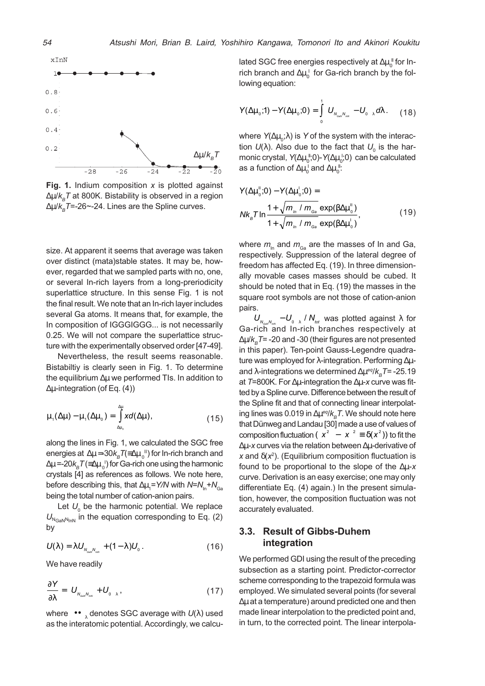

Fig. 1. Indium composition  $x$  is plotted against ∆µ/k<sub>a</sub>T at 800K. Bistability is observed in a region  $\Delta \mu / k_B T = -26$ ~-24. Lines are the Spline curves.

size. At apparent it seems that average was taken over distinct (mata)stable states. It may be, however, regarded that we sampled parts with no, one, or several In-rich layers from a long-preriodicity superlattice structure. In this sense Fig. 1 is not the final result. We note that an In-rich layer includes several Ga atoms. It means that, for example, the In composition of IGGGIGGG... is not necessarily 0.25. We will not compare the superlattice structure with the experimentally observed order [47-49].

Nevertheless, the result seems reasonable. Bistabiltiy is clearly seen in Fig. 1. To determine the equilibrium ∆µ we performed TIs. In addition to ∆µ-integration (of Eq. (4))

$$
\mu_{1}(\Delta\mu) - \mu_{1}(\Delta\mu_{0}) = \int_{\Delta\mu_{0}}^{\Delta\mu} x d(\Delta\mu), \qquad (15)
$$

along the lines in Fig. 1, we calculated the SGC free energies at  $\Delta\mu$ =-30 $k_{_B}\mathcal{T}$ (≡ $\Delta\mu_{_0}$ ") for In-rich branch and ∆µ =-20 $k_{_B}\mathcal{T}$ (≡∆µ  $_{_0}$ ') for Ga-rich one using the harmonic crystals [4] as references as follows. We note here, before describing this, that ∆ $\mu_\text{\tiny{1}}$ =Y/N with N=N $_\text{\tiny{In}}$ +N $_\text{\tiny{Ga}}$ being the total number of cation-anion pairs.

Let  $U_{_0}$  be the harmonic potential. We replace  $U_{N_{\text{GANN}}|n}$  in the equation corresponding to Eq. (2) by

$$
U(\lambda) = \lambda U_{N_{\text{cav}}N_{\text{inv}}} + (1 - \lambda)U_{0}.
$$
 (16)

We have readily

$$
\frac{\partial Y}{\partial \lambda} = \langle U_{N_{\text{cav}} N_{\text{av}}} + U_{0} \rangle_{\lambda}, \qquad (17)
$$

where  $\left\langle\bullet\bullet\right\rangle_\lambda$  denotes SGC average with  $U(\lambda)$  used as the interatomic potential. Accordingly, we calculated SGC free energies respectively at  $\Delta \mu_0^{\phantom{\mathrm{u}}}$ for Inrich branch and  $\Delta \mu_0^{\ \ I}$  for Ga-rich branch by the following equation:

$$
Y(\Delta\mu_{\circ};1)-Y(\Delta\mu_{\circ};0)=\int_{0}^{1}\langle U_{N_{\text{cav}}N_{\text{inv}}}-U_{\circ}\rangle_{\lambda}d\lambda. \qquad (18)
$$

where  $\mathsf{Y}(\Delta\mu_{\scriptscriptstyle 0}\!;\!\lambda)$  is  $\mathsf{Y}% _{\scriptscriptstyle 0}\!\mathsf{O}$  of the system with the interaction  $U(\lambda)$ . Also due to the fact that  $U_{_0}$  is the harmonic crystal, Y( $\Delta \mu_0^{\,\text{\tiny{I\!I}}},0$ )-Y( $\Delta \mu_0^{\,\text{\tiny{I\!I}}},0)$  can be calculated as a function of  $\Delta \mu_0^{\;\rm I}$  and  $\Delta \mu_0^{\;\rm I\!I}$ :

$$
Y(\Delta \mu_{0}^{n};0) - Y(\Delta \mu_{0}^{n};0) =
$$
  

$$
N k_{B} T \ln \frac{1 + \sqrt{m_{1n} / m_{\text{Ga}}}}{1 + \sqrt{m_{1n} / m_{\text{Ga}}}} \exp(\beta \Delta \mu_{0}^{n})
$$
 (19)

where  $m_{\text{in}}$  and  $m_{\text{Ga}}$  are the masses of In and Ga, respectively. Suppression of the lateral degree of freedom has affected Eq. (19). In three dimensionally movable cases masses should be cubed. It should be noted that in Eq. (19) the masses in the square root symbols are not those of cation-anion pairs.

 $\langle U_{N_{\text{max}}}, -U_{\text{max}}\rangle$  /  $N_{\text{tot}}$  was plotted against  $\lambda$  for Ga-rich and In-rich branches respectively at  $\Delta \mu / k_{\rm e}$ T= -20 and -30 (their figures are not presented in this paper). Ten-point Gauss-Legendre quadrature was employed for  $\lambda$ -integration. Performing Δμand  $\lambda$ -integrations we determined  $\Delta \mu^{eq}/k_{B}T$ = -25.19 at T=800K. For ∆µ-integration the ∆µ-x curve was fitted by a Spline curve. Difference between the result of the Spline fit and that of connecting linear interpolating lines was 0.019 in  $\Delta \mu^{eq}/k_{B}T$ . We should note here that Dünweg and Landau [30] made a use of values of composition fluctuation  $({\langle x^2 \rangle} - {\langle x \rangle}^2 \equiv \delta({\langle x^2 \rangle})$  to fit the ∆µ-x curves via the relation between ∆µ-derivative of x and  $\delta(x^2)$ . (Equilibrium composition fluctuation is found to be proportional to the slope of the ∆µ-x curve. Derivation is an easy exercise; one may only differentiate Eq. (4) again.) In the present simulation, however, the composition fluctuation was not accurately evaluated.

## 3.3. Result of Gibbs-Duhem integration

We performed GDI using the result of the preceding subsection as a starting point. Predictor-corrector scheme corresponding to the trapezoid formula was employed. We simulated several points (for several ∆µ at a temperature) around predicted one and then made linear interpolation to the predicted point and, in turn, to the corrected point. The linear interpola-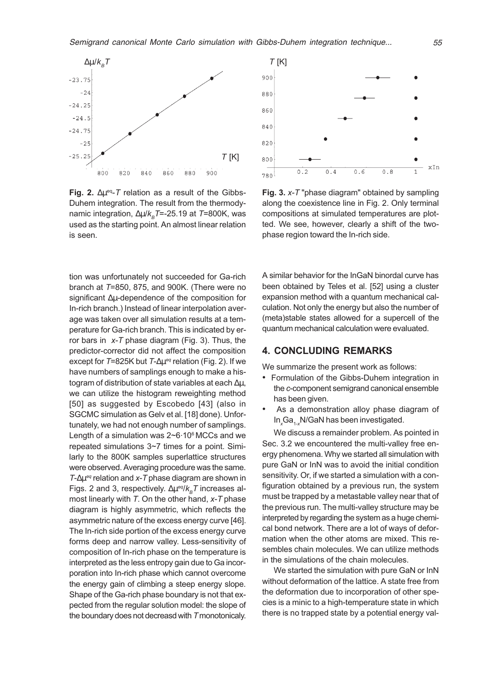

Fig. 2.  $\Delta \mu$ <sup>eq</sup>-T relation as a result of the Gibbs-Duhem integration. The result from the thermodynamic integration,  $\Delta \mu / k_B T = -25.19$  at T=800K, was used as the starting point. An almost linear relation is seen.

tion was unfortunately not succeeded for Ga-rich branch at T=850, 875, and 900K. (There were no significant ∆µ-dependence of the composition for In-rich branch.) Instead of linear interpolation average was taken over all simulation results at a temperature for Ga-rich branch. This is indicated by error bars in  $x$ -T phase diagram (Fig. 3). Thus, the predictor-corrector did not affect the composition except for  $T=825K$  but  $T-\Delta\mu^{eq}$  relation (Fig. 2). If we have numbers of samplings enough to make a histogram of distribution of state variables at each ∆µ, we can utilize the histogram reweighting method [50] as suggested by Escobedo [43] (also in SGCMC simulation as Gelv et al. [18] done). Unfortunately, we had not enough number of samplings. Length of a simulation was 2~6.10<sup>6</sup> MCCs and we repeated simulations 3~7 times for a point. Similarly to the 800K samples superlattice structures were observed. Averaging procedure was the same.  $T$ - $\Delta \mu$ <sup>eq</sup> relation and x-T phase diagram are shown in Figs. 2 and 3, respectively.  $\Delta \mu^{eq}/k_B T$  increases almost linearly with  $T$ . On the other hand,  $x$ - $T$  phase diagram is highly asymmetric, which reflects the asymmetric nature of the excess energy curve [46]. The In-rich side portion of the excess energy curve forms deep and narrow valley. Less-sensitivity of composition of In-rich phase on the temperature is interpreted as the less entropy gain due to Ga incorporation into In-rich phase which cannot overcome the energy gain of climbing a steep energy slope. Shape of the Ga-rich phase boundary is not that expected from the regular solution model: the slope of the boundary does not decreasd with T monotonicaly.



Fig. 3. x-T "phase diagram" obtained by sampling along the coexistence line in Fig. 2. Only terminal compositions at simulated temperatures are plotted. We see, however, clearly a shift of the twophase region toward the In-rich side.

A similar behavior for the InGaN binordal curve has been obtained by Teles et al. [52] using a cluster expansion method with a quantum mechanical calculation. Not only the energy but also the number of (meta)stable states allowed for a supercell of the quantum mechanical calculation were evaluated.

# 4. CONCLUDING REMARKS

We summarize the present work as follows:

- Formulation of the Gibbs-Duhem integration in the c-component semigrand canonical ensemble has been given.
- As a demonstration alloy phase diagram of  $In_xGa_{1-x}$ N/GaN has been investigated.

We discuss a remainder problem. As pointed in Sec. 3.2 we encountered the multi-valley free energy phenomena. Why we started all simulation with pure GaN or InN was to avoid the initial condition sensitivity. Or, if we started a simulation with a configuration obtained by a previous run, the system must be trapped by a metastable valley near that of the previous run. The multi-valley structure may be interpreted by regarding the system as a huge chemical bond network. There are a lot of ways of deformation when the other atoms are mixed. This resembles chain molecules. We can utilize methods in the simulations of the chain molecules.

We started the simulation with pure GaN or InN without deformation of the lattice. A state free from the deformation due to incorporation of other species is a minic to a high-temperature state in which there is no trapped state by a potential energy val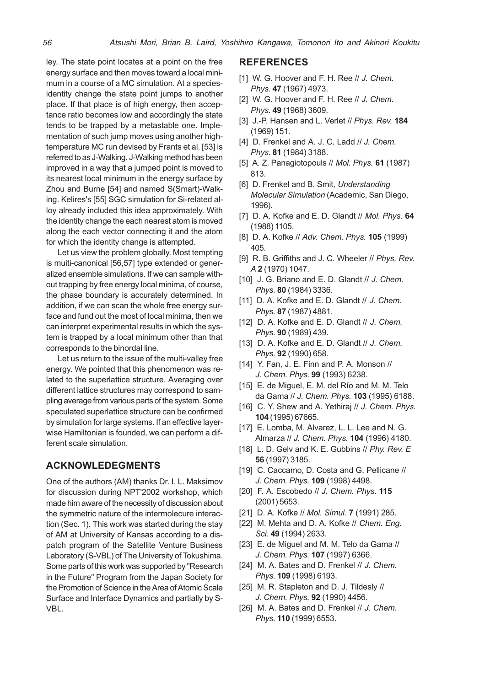ley. The state point locates at a point on the free energy surface and then moves toward a local minimum in a course of a MC simulation. At a speciesidentity change the state point jumps to another place. If that place is of high energy, then acceptance ratio becomes low and accordingly the state tends to be trapped by a metastable one. Implementation of such jump moves using another hightemperature MC run devised by Frants et al. [53] is referred to as J-Walking. J-Walking method has been improved in a way that a jumped point is moved to its nearest local minimum in the energy surface by Zhou and Burne [54] and named S(Smart)-Walking. Kelires's [55] SGC simulation for Si-related alloy already included this idea approximately. With the identity change the each nearest atom is moved along the each vector connecting it and the atom for which the identity change is attempted.

Let us view the problem globally. Most tempting is muiti-canonical [56,57] type extended or generalized ensemble simulations. If we can sample without trapping by free energy local minima, of course, the phase boundary is accurately determined. In addition, if we can scan the whole free energy surface and fund out the most of local minima, then we can interpret experimental results in which the system is trapped by a local minimum other than that corresponds to the binordal line.

Let us return to the issue of the multi-valley free energy. We pointed that this phenomenon was related to the superlattice structure. Averaging over different lattice structures may correspond to sampling average from various parts of the system. Some speculated superlattice structure can be confirmed by simulation for large systems. If an effective layerwise Hamiltonian is founded, we can perform a different scale simulation.

## ACKNOWLEDEGMENTS

One of the authors (AM) thanks Dr. I. L. Maksimov for discussion during NPT'2002 workshop, which made him aware of the necessity of discussion about the symmetric nature of the intermolecure interaction (Sec. 1). This work was started during the stay of AM at University of Kansas according to a dispatch program of the Satellite Venture Business Laboratory (S-VBL) of The University of Tokushima. Some parts of this work was supported by "Research in the Future" Program from the Japan Society for the Promotion of Science in the Area of Atomic Scale Surface and Interface Dynamics and partially by S-VBL.

## REFERENCES

- [1] W. G. Hoover and F. H. Ree // J. Chem. Phys. 47 (1967) 4973.
- [2] W. G. Hoover and F. H. Ree // J. Chem. Phys. 49 (1968) 3609.
- [3] J.-P. Hansen and L. Verlet // Phys. Rev. 184 (1969) 151.
- [4] D. Frenkel and A. J. C. Ladd // J. Chem. Phys. 81 (1984) 3188.
- [5] A. Z. Panagiotopouls // Mol. Phys. **61** (1987) 813.
- [6] D. Frenkel and B. Smit, Understanding Molecular Simulation (Academic, San Diego, 1996).
- [7] D. A. Kofke and E. D. Glandt // Mol. Phys. 64 (1988) 1105.
- [8] D. A. Kofke // Adv. Chem. Phys. **105** (1999) 405.
- [9] R. B. Griffiths and J. C. Wheeler // Phys. Rev. A 2 (1970) 1047.
- [10] J. G. Briano and E. D. Glandt // J. Chem. Phys. 80 (1984) 3336.
- [11] D. A. Kofke and E. D. Glandt // J. Chem. Phys. 87 (1987) 4881.
- [12] D. A. Kofke and E. D. Glandt // J. Chem. Phys. 90 (1989) 439.
- [13] D. A. Kofke and E. D. Glandt // J. Chem. Phys. 92 (1990) 658.
- [14] Y. Fan, J. E. Finn and P. A. Monson // J. Chem. Phys. 99 (1993) 6238.
- [15] E. de Miguel, E. M. del Río and M. M. Telo da Gama // J. Chem. Phys. 103 (1995) 6188.
- [16] C. Y. Shew and A. Yethiraj // J. Chem. Phys. 104 (1995) 67665.
- [17] E. Lomba, M. Alvarez, L. L. Lee and N. G. Almarza // J. Chem. Phys. 104 (1996) 4180.
- [18] L. D. Gelv and K. E. Gubbins // Phy. Rev. E 56 (1997) 3185.
- [19] C. Caccamo, D. Costa and G. Pellicane // J. Chem. Phys. 109 (1998) 4498.
- [20] F. A. Escobedo // J. Chem. Phys. 115 (2001) 5653.
- [21] D. A. Kofke // Mol. Simul. 7 (1991) 285.
- [22] M. Mehta and D. A. Kofke // Chem. Eng. Sci. 49 (1994) 2633.
- [23] E. de Miguel and M. M. Telo da Gama // J. Chem. Phys. 107 (1997) 6366.
- [24] M. A. Bates and D. Frenkel // J. Chem. Phys. 109 (1998) 6193.
- [25] M. R. Stapleton and D. J. Tildesly // J. Chem. Phys. 92 (1990) 4456.
- [26] M. A. Bates and D. Frenkel // J. Chem. Phys. 110 (1999) 6553.